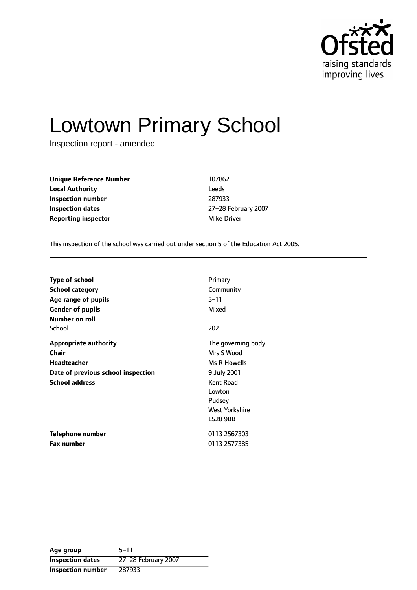

# Lowtown Primary School

Inspection report - amended

| <b>Unique Reference Number</b> | 107862      |
|--------------------------------|-------------|
| <b>Local Authority</b>         | Leeds       |
| Inspection number              | 287933      |
| Inspection dates               | 27-28 Febru |
| <b>Reporting inspector</b>     | Mike Driver |

**Inspection number** 287933 **Inspection dates** 2728 February 2007

This inspection of the school was carried out under section 5 of the Education Act 2005.

| <b>Type of school</b>              | Primary            |
|------------------------------------|--------------------|
| <b>School category</b>             | Community          |
| Age range of pupils                | 5–11               |
| <b>Gender of pupils</b>            | Mixed              |
| Number on roll                     |                    |
| School                             | 202                |
| <b>Appropriate authority</b>       | The governing body |
| Chair                              | Mrs S Wood         |
| <b>Headteacher</b>                 | Ms R Howells       |
| Date of previous school inspection | 9 July 2001        |
| <b>School address</b>              | Kent Road          |
|                                    | Lowton             |
|                                    | Pudsey             |
|                                    | West Yorkshire     |
|                                    | <b>LS28 9BB</b>    |
| Telephone number                   | 0113 2567303       |
| <b>Fax number</b>                  | 0113 2577385       |

Age group 5-11 **Inspection dates** 27-28 February 2007 **Inspection number** 287933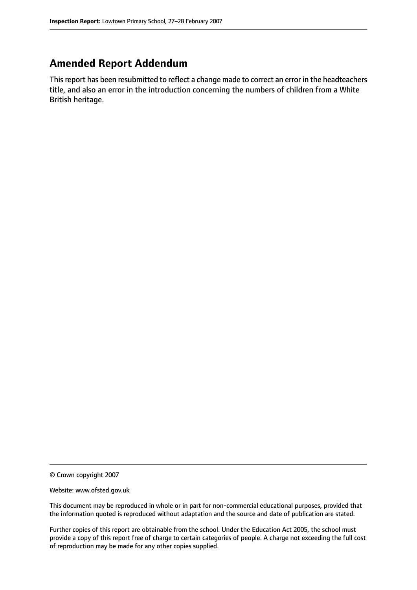## **Amended Report Addendum**

This report has been resubmitted to reflect a change made to correct an error in the headteachers title, and also an error in the introduction concerning the numbers of children from a White British heritage.

© Crown copyright 2007

Website: www.ofsted.gov.uk

This document may be reproduced in whole or in part for non-commercial educational purposes, provided that the information quoted is reproduced without adaptation and the source and date of publication are stated.

Further copies of this report are obtainable from the school. Under the Education Act 2005, the school must provide a copy of this report free of charge to certain categories of people. A charge not exceeding the full cost of reproduction may be made for any other copies supplied.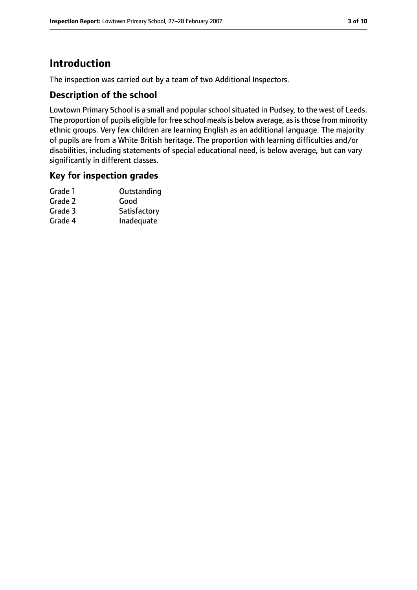# **Introduction**

The inspection was carried out by a team of two Additional Inspectors.

#### **Description of the school**

Lowtown Primary School is a small and popular school situated in Pudsey, to the west of Leeds. The proportion of pupils eligible for free school meals is below average, as is those from minority ethnic groups. Very few children are learning English as an additional language. The majority of pupils are from a White British heritage. The proportion with learning difficulties and/or disabilities, including statements of special educational need, is below average, but can vary significantly in different classes.

#### **Key for inspection grades**

| Grade 1 | Outstanding  |
|---------|--------------|
| Grade 2 | Good         |
| Grade 3 | Satisfactory |
| Grade 4 | Inadequate   |
|         |              |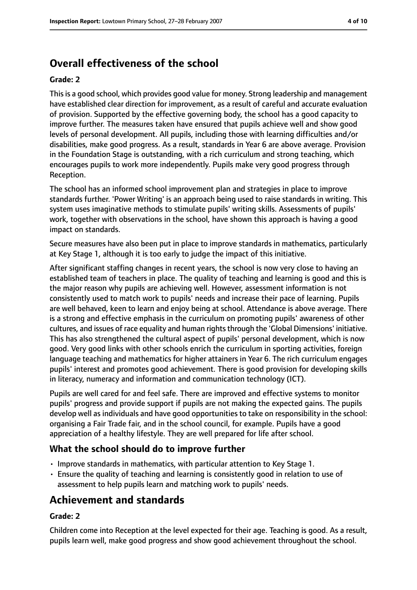# **Overall effectiveness of the school**

#### **Grade: 2**

Thisis a good school, which provides good value for money. Strong leadership and management have established clear direction for improvement, as a result of careful and accurate evaluation of provision. Supported by the effective governing body, the school has a good capacity to improve further. The measures taken have ensured that pupils achieve well and show good levels of personal development. All pupils, including those with learning difficulties and/or disabilities, make good progress. As a result, standards in Year 6 are above average. Provision in the Foundation Stage is outstanding, with a rich curriculum and strong teaching, which encourages pupils to work more independently. Pupils make very good progress through Reception.

The school has an informed school improvement plan and strategies in place to improve standards further. 'Power Writing' is an approach being used to raise standards in writing. This system uses imaginative methods to stimulate pupils' writing skills. Assessments of pupils' work, together with observations in the school, have shown this approach is having a good impact on standards.

Secure measures have also been put in place to improve standards in mathematics, particularly at Key Stage 1, although it is too early to judge the impact of this initiative.

After significant staffing changes in recent years, the school is now very close to having an established team of teachers in place. The quality of teaching and learning is good and this is the major reason why pupils are achieving well. However, assessment information is not consistently used to match work to pupils' needs and increase their pace of learning. Pupils are well behaved, keen to learn and enjoy being at school. Attendance is above average. There is a strong and effective emphasis in the curriculum on promoting pupils' awareness of other cultures, and issues of race equality and human rights through the 'Global Dimensions' initiative. This has also strengthened the cultural aspect of pupils' personal development, which is now good. Very good links with other schools enrich the curriculum in sporting activities, foreign language teaching and mathematics for higher attainers in Year 6. The rich curriculum engages pupils' interest and promotes good achievement. There is good provision for developing skills in literacy, numeracy and information and communication technology (ICT).

Pupils are well cared for and feel safe. There are improved and effective systems to monitor pupils' progress and provide support if pupils are not making the expected gains. The pupils develop well as individuals and have good opportunities to take on responsibility in the school: organising a Fair Trade fair, and in the school council, for example. Pupils have a good appreciation of a healthy lifestyle. They are well prepared for life after school.

#### **What the school should do to improve further**

- Improve standards in mathematics, with particular attention to Key Stage 1.
- Ensure the quality of teaching and learning is consistently good in relation to use of assessment to help pupils learn and matching work to pupils' needs.

## **Achievement and standards**

#### **Grade: 2**

Children come into Reception at the level expected for their age. Teaching is good. As a result, pupils learn well, make good progress and show good achievement throughout the school.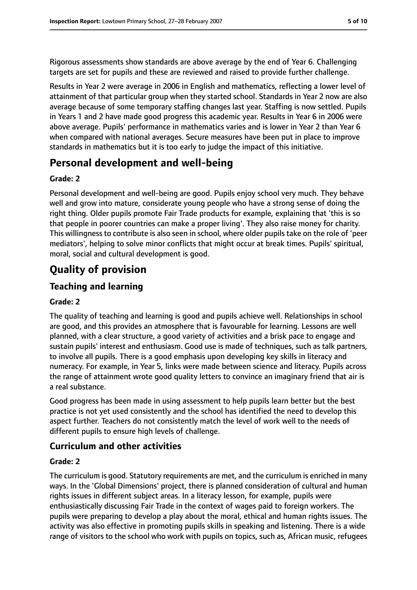Rigorous assessments show standards are above average by the end of Year 6. Challenging targets are set for pupils and these are reviewed and raised to provide further challenge.

Results in Year 2 were average in 2006 in English and mathematics, reflecting a lower level of attainment of that particular group when they started school. Standards in Year 2 now are also average because of some temporary staffing changes last year. Staffing is now settled. Pupils in Years 1 and 2 have made good progress this academic year. Results in Year 6 in 2006 were above average. Pupils' performance in mathematics varies and is lower in Year 2 than Year 6 when compared with national averages. Secure measures have been put in place to improve standards in mathematics but it is too early to judge the impact of this initiative.

## **Personal development and well-being**

#### **Grade: 2**

Personal development and well-being are good. Pupils enjoy school very much. They behave well and grow into mature, considerate young people who have a strong sense of doing the right thing. Older pupils promote Fair Trade products for example, explaining that 'this is so that people in poorer countries can make a proper living'. They also raise money for charity. This willingness to contribute is also seen in school, where older pupils take on the role of 'peer mediators', helping to solve minor conflicts that might occur at break times. Pupils' spiritual, moral, social and cultural development is good.

# **Quality of provision**

#### **Teaching and learning**

#### **Grade: 2**

The quality of teaching and learning is good and pupils achieve well. Relationships in school are good, and this provides an atmosphere that is favourable for learning. Lessons are well planned, with a clear structure, a good variety of activities and a brisk pace to engage and sustain pupils' interest and enthusiasm. Good use is made of techniques, such as talk partners, to involve all pupils. There is a good emphasis upon developing key skills in literacy and numeracy. For example, in Year 5, links were made between science and literacy. Pupils across the range of attainment wrote good quality letters to convince an imaginary friend that air is a real substance.

Good progress has been made in using assessment to help pupils learn better but the best practice is not yet used consistently and the school has identified the need to develop this aspect further. Teachers do not consistently match the level of work well to the needs of different pupils to ensure high levels of challenge.

#### **Curriculum and other activities**

#### **Grade: 2**

The curriculum is good. Statutory requirements are met, and the curriculum is enriched in many ways. In the 'Global Dimensions' project, there is planned consideration of cultural and human rights issues in different subject areas. In a literacy lesson, for example, pupils were enthusiastically discussing Fair Trade in the context of wages paid to foreign workers. The pupils were preparing to develop a play about the moral, ethical and human rights issues. The activity was also effective in promoting pupils skills in speaking and listening. There is a wide range of visitors to the school who work with pupils on topics, such as, African music, refugees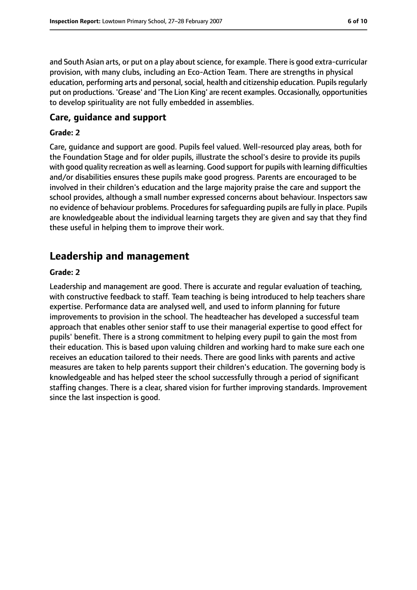and South Asian arts, or put on a play about science, for example. There is good extra-curricular provision, with many clubs, including an Eco-Action Team. There are strengths in physical education, performing arts and personal, social, health and citizenship education. Pupils regularly put on productions. 'Grease' and 'The Lion King' are recent examples. Occasionally, opportunities to develop spirituality are not fully embedded in assemblies.

#### **Care, guidance and support**

#### **Grade: 2**

Care, guidance and support are good. Pupils feel valued. Well-resourced play areas, both for the Foundation Stage and for older pupils, illustrate the school's desire to provide its pupils with good quality recreation as well as learning. Good support for pupils with learning difficulties and/or disabilities ensures these pupils make good progress. Parents are encouraged to be involved in their children's education and the large majority praise the care and support the school provides, although a small number expressed concerns about behaviour. Inspectors saw no evidence of behaviour problems. Procedures for safeguarding pupils are fully in place. Pupils are knowledgeable about the individual learning targets they are given and say that they find these useful in helping them to improve their work.

## **Leadership and management**

#### **Grade: 2**

Leadership and management are good. There is accurate and regular evaluation of teaching, with constructive feedback to staff. Team teaching is being introduced to help teachers share expertise. Performance data are analysed well, and used to inform planning for future improvements to provision in the school. The headteacher has developed a successful team approach that enables other senior staff to use their managerial expertise to good effect for pupils' benefit. There is a strong commitment to helping every pupil to gain the most from their education. This is based upon valuing children and working hard to make sure each one receives an education tailored to their needs. There are good links with parents and active measures are taken to help parents support their children's education. The governing body is knowledgeable and has helped steer the school successfully through a period of significant staffing changes. There is a clear, shared vision for further improving standards. Improvement since the last inspection is good.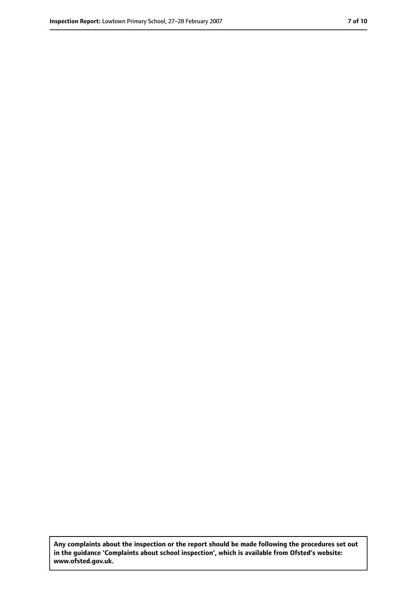**Any complaints about the inspection or the report should be made following the procedures set out in the guidance 'Complaints about school inspection', which is available from Ofsted's website: www.ofsted.gov.uk.**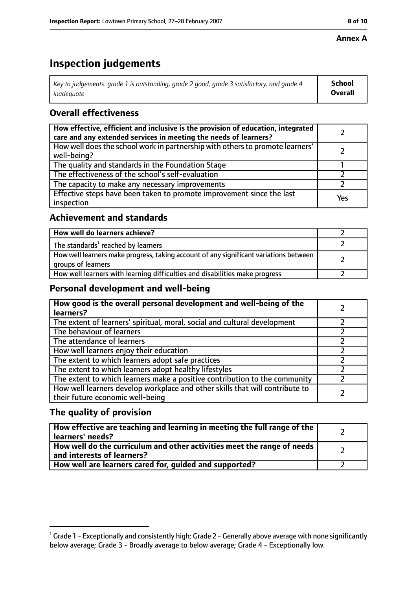#### **Annex A**

# **Inspection judgements**

| Key to judgements: grade 1 is outstanding, grade 2 good, grade 3 satisfactory, and grade 4 $\,$ | <b>School</b>  |
|-------------------------------------------------------------------------------------------------|----------------|
| inadequate                                                                                      | <b>Overall</b> |

## **Overall effectiveness**

| How effective, efficient and inclusive is the provision of education, integrated<br>care and any extended services in meeting the needs of learners? |     |
|------------------------------------------------------------------------------------------------------------------------------------------------------|-----|
| How well does the school work in partnership with others to promote learners'<br>well-being?                                                         |     |
| The quality and standards in the Foundation Stage                                                                                                    |     |
| The effectiveness of the school's self-evaluation                                                                                                    |     |
| The capacity to make any necessary improvements                                                                                                      |     |
| Effective steps have been taken to promote improvement since the last<br>inspection                                                                  | Yes |

#### **Achievement and standards**

| How well do learners achieve?                                                                               |  |
|-------------------------------------------------------------------------------------------------------------|--|
| The standards <sup>1</sup> reached by learners                                                              |  |
| How well learners make progress, taking account of any significant variations between<br>groups of learners |  |
| How well learners with learning difficulties and disabilities make progress                                 |  |

#### **Personal development and well-being**

| How good is the overall personal development and well-being of the<br>learners?                                  |  |
|------------------------------------------------------------------------------------------------------------------|--|
| The extent of learners' spiritual, moral, social and cultural development                                        |  |
| The behaviour of learners                                                                                        |  |
| The attendance of learners                                                                                       |  |
| How well learners enjoy their education                                                                          |  |
| The extent to which learners adopt safe practices                                                                |  |
| The extent to which learners adopt healthy lifestyles                                                            |  |
| The extent to which learners make a positive contribution to the community                                       |  |
| How well learners develop workplace and other skills that will contribute to<br>their future economic well-being |  |

#### **The quality of provision**

| How effective are teaching and learning in meeting the full range of the<br>learners' needs?          |  |
|-------------------------------------------------------------------------------------------------------|--|
| How well do the curriculum and other activities meet the range of needs<br>and interests of learners? |  |
| How well are learners cared for, quided and supported?                                                |  |

 $^1$  Grade 1 - Exceptionally and consistently high; Grade 2 - Generally above average with none significantly below average; Grade 3 - Broadly average to below average; Grade 4 - Exceptionally low.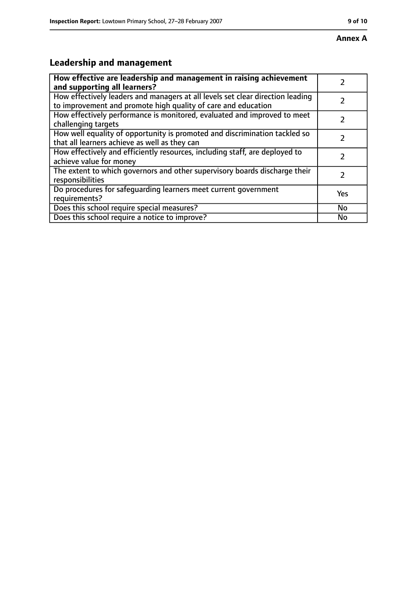# **Leadership and management**

| How effective are leadership and management in raising achievement                                                                              |               |
|-------------------------------------------------------------------------------------------------------------------------------------------------|---------------|
| and supporting all learners?                                                                                                                    |               |
| How effectively leaders and managers at all levels set clear direction leading<br>to improvement and promote high quality of care and education |               |
| How effectively performance is monitored, evaluated and improved to meet<br>challenging targets                                                 |               |
| How well equality of opportunity is promoted and discrimination tackled so<br>that all learners achieve as well as they can                     |               |
| How effectively and efficiently resources, including staff, are deployed to<br>achieve value for money                                          | 7             |
| The extent to which governors and other supervisory boards discharge their<br>responsibilities                                                  | $\mathcal{L}$ |
| Do procedures for safequarding learners meet current government<br>requirements?                                                                | Yes           |
| Does this school require special measures?                                                                                                      | No            |
| Does this school require a notice to improve?                                                                                                   | No            |